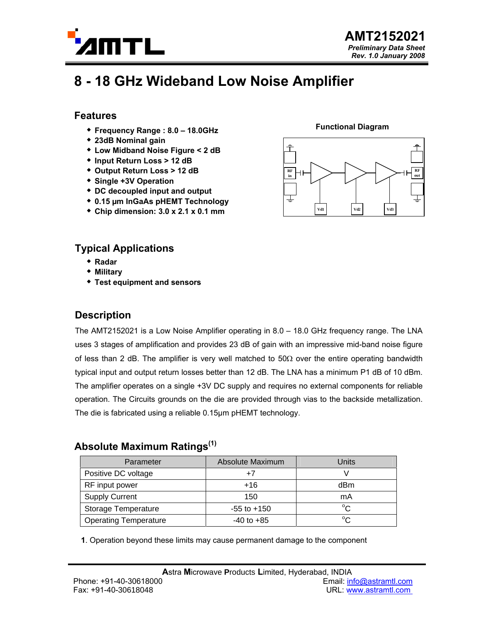

# **8 - 18 GHz Wideband Low Noise Amplifier**

#### **Features**

- **Frequency Range : 8.0 18.0GHz**
- **23dB Nominal gain**
- **Low Midband Noise Figure < 2 dB**
- **Input Return Loss > 12 dB**
- **Output Return Loss > 12 dB**
- **Single +3V Operation**
- **DC decoupled input and output**
- **0.15 µm InGaAs pHEMT Technology**
- **Chip dimension: 3.0 x 2.1 x 0.1 mm**

### **Typical Applications**

- **Radar**
- **Military**
- **Test equipment and sensors**

## **Description**

The AMT2152021 is a Low Noise Amplifier operating in 8.0 – 18.0 GHz frequency range. The LNA uses 3 stages of amplification and provides 23 dB of gain with an impressive mid-band noise figure of less than 2 dB. The amplifier is very well matched to  $50\Omega$  over the entire operating bandwidth typical input and output return losses better than 12 dB. The LNA has a minimum P1 dB of 10 dBm. The amplifier operates on a single +3V DC supply and requires no external components for reliable operation. The Circuits grounds on the die are provided through vias to the backside metallization. The die is fabricated using a reliable 0.15µm pHEMT technology.

#### **Absolute Maximum Ratings(1)**

| Parameter                    | Absolute Maximum | Units        |
|------------------------------|------------------|--------------|
| Positive DC voltage          | +7               |              |
| RF input power               | $+16$            | dBm          |
| <b>Supply Current</b>        | 150              | mA           |
| <b>Storage Temperature</b>   | $-55$ to $+150$  | $^{\circ}$ C |
| <b>Operating Temperature</b> | $-40$ to $+85$   | $^{\circ}$ C |

**1**. Operation beyond these limits may cause permanent damage to the component



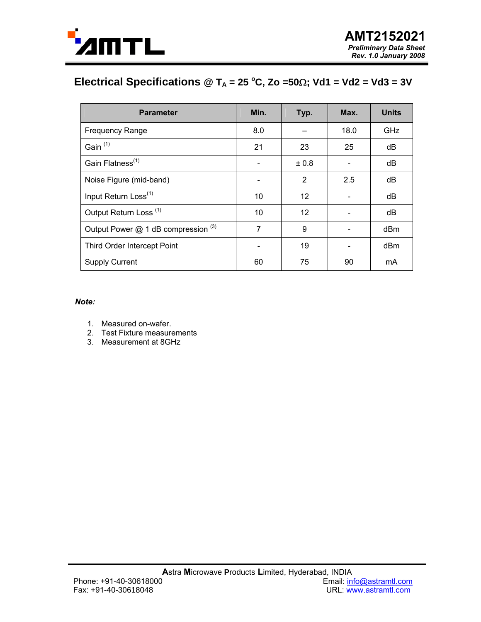

# **Electrical Specifications @ T<sub>A</sub> = 25 °C, Zo =50Ω; Vd1 = Vd2 = Vd3 = 3V**

| <b>Parameter</b>                    | Min. | Typ.  | Max.                     | <b>Units</b> |
|-------------------------------------|------|-------|--------------------------|--------------|
| <b>Frequency Range</b>              | 8.0  |       | 18.0                     | GHz          |
| Gain <sup>(1)</sup>                 | 21   | 23    | 25                       | dB           |
| Gain Flatness <sup>(1)</sup>        |      | ± 0.8 |                          | dB           |
| Noise Figure (mid-band)             |      | 2     | 2.5                      | dB           |
| Input Return Loss <sup>(1)</sup>    | 10   | 12    | $\overline{\phantom{a}}$ | dB           |
| Output Return Loss <sup>(1)</sup>   | 10   | 12    |                          | dB           |
| Output Power @ 1 dB compression (3) | 7    | 9     |                          | dBm          |
| Third Order Intercept Point         |      | 19    |                          | dBm          |
| <b>Supply Current</b>               | 60   | 75    | 90                       | mA           |

*Note:* 

- 1. Measured on-wafer.
- 2. Test Fixture measurements
- 3. Measurement at 8GHz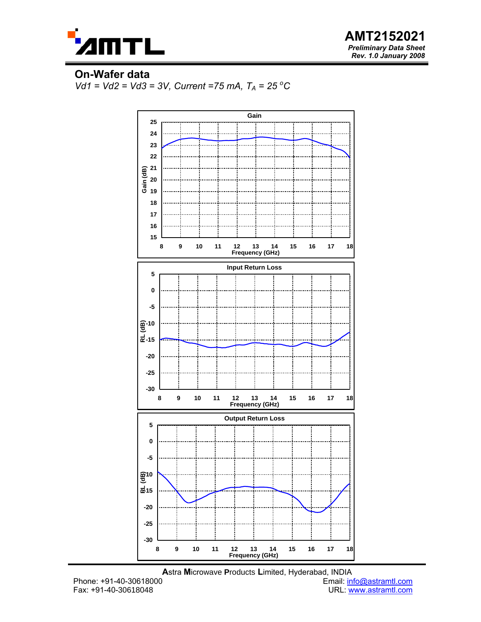

**AMT2152021**  *Preliminary Data Sheet Rev. 1.0 January 2008*

#### **On-Wafer data**

*Vd1 = Vd2 = Vd3 = 3V, Current =75 mA, TA = 25 <sup>o</sup> C*



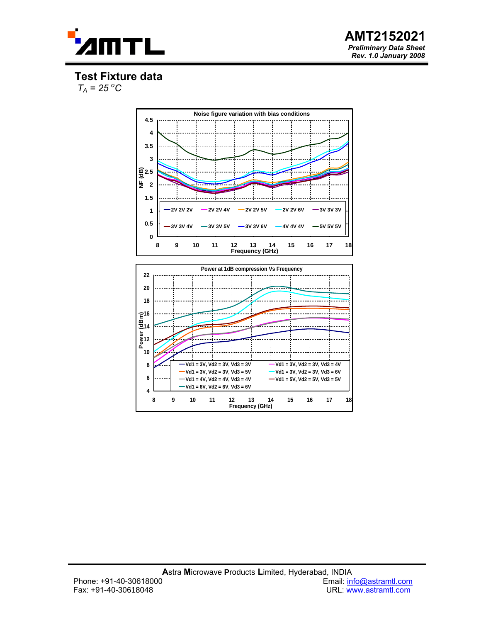



**Test Fixture data** 

 $T_A = 25\,^{\circ}C$ 



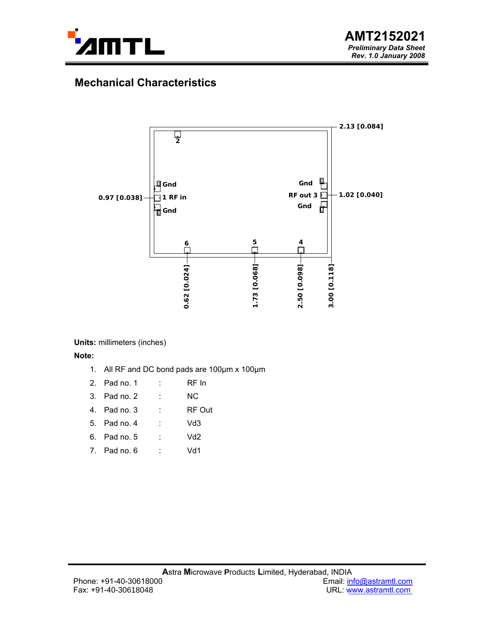

# **Mechanical Characteristics**



**Units:** millimeters (inches)

**Note:** 

- 1. All RF and DC bond pads are 100µm x 100µm
- 2. Pad no. 1 : RF In
- 3. Pad no. 2 : NC
- 4. Pad no. 3 : RF Out
- 5. Pad no. 4 : Vd3
- 6. Pad no. 5 : Vd2
- 7. Pad no. 6 : Vd1